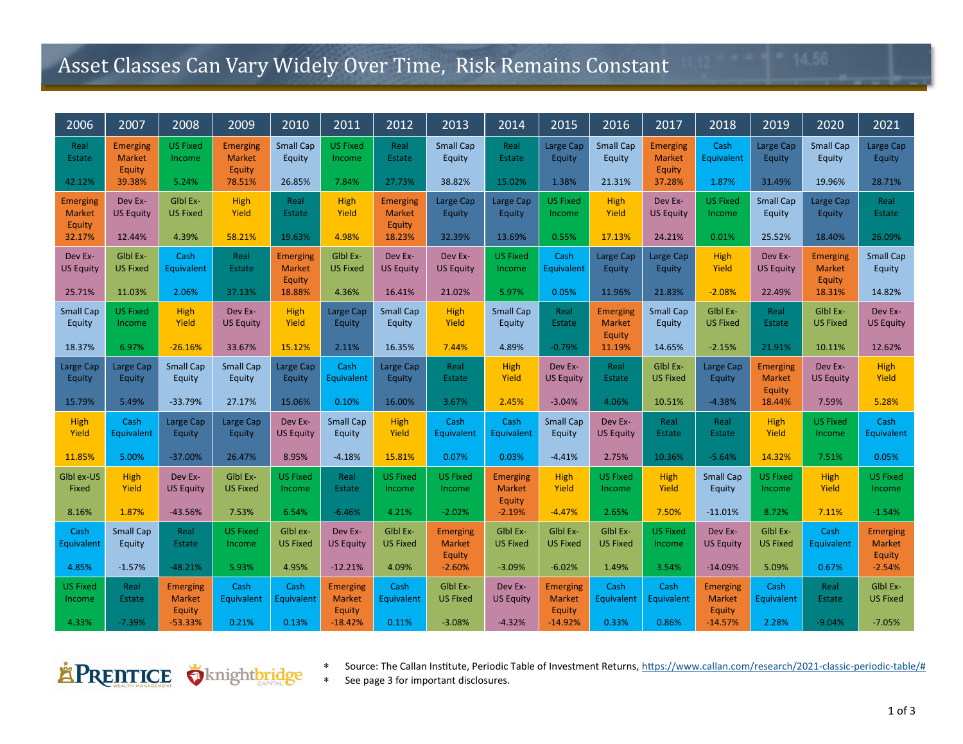## Asset Classes Can Vary Widely Over Time, Risk Remains Constant

| 2006                                       | 2007                                       | 2008                                       | 2009                                | 2010                                       | 2011                                       | 2012                                       | 2013                                       | 2014                                       | 2015                                       | 2016                                | 2017                                       | 2018                                       | 2019                                       | 2020                                       | 2021                                |
|--------------------------------------------|--------------------------------------------|--------------------------------------------|-------------------------------------|--------------------------------------------|--------------------------------------------|--------------------------------------------|--------------------------------------------|--------------------------------------------|--------------------------------------------|-------------------------------------|--------------------------------------------|--------------------------------------------|--------------------------------------------|--------------------------------------------|-------------------------------------|
| Real<br>Estate                             | <b>Emerging</b><br><b>Market</b><br>Equity | <b>US Fixed</b><br>Income                  | Emerging<br><b>Market</b><br>Equity | <b>Small Cap</b><br>Equity                 | <b>US Fixed</b><br>Income                  | Real<br>Estate                             | <b>Small Cap</b><br>Equity                 | Real<br>Estate                             | Large Cap<br>Equity                        | <b>Small Cap</b><br>Equity          | <b>Emerging</b><br><b>Market</b><br>Equity | Cash<br>Equivalent                         | Large Cap<br>Equity                        | <b>Small Cap</b><br>Equity                 | Large Cap<br>Equity                 |
| 42.12%                                     | 39.38%                                     | 5.24%                                      | 78.51%                              | 26.85%                                     | 7.84%                                      | 27.73%                                     | 38.82%                                     | 15.02%                                     | 1.38%                                      | 21.31%                              | 37.28%                                     | 1.87%                                      | 31.49%                                     | 19.96%                                     | 28.71%                              |
| <b>Emerging</b><br><b>Market</b><br>Equity | Dev Ex-<br><b>US Equity</b>                | Glbl Ex-<br><b>US Fixed</b>                | High<br>Yield                       | Real<br>Estate                             | <b>High</b><br>Yield                       | <b>Emerging</b><br><b>Market</b><br>Equity | Large Cap<br>Equity                        | Large Cap<br>Equity                        | <b>US Fixed</b><br>Income                  | High<br>Yield                       | Dev Ex-<br><b>US Equity</b>                | <b>US Fixed</b><br>Income                  | <b>Small Cap</b><br>Equity                 | Large Cap<br>Equity                        | Real<br>Estate                      |
| 32.17%                                     | 12.44%                                     | 4.39%                                      | 58.21%                              | 19.63%                                     | 4.98%                                      | 18.23%                                     | 32.39%                                     | 13.69%                                     | 0.55%                                      | 17.13%                              | 24.21%                                     | 0.01%                                      | 25.52%                                     | 18.40%                                     | 26.09%                              |
| Dev Ex-<br><b>US Equity</b>                | Glbl Ex-<br><b>US Fixed</b>                | Cash<br>Equivalent                         | Real<br>Estate                      | <b>Emerging</b><br><b>Market</b><br>Equity | Glbl Ex-<br><b>US Fixed</b>                | Dev Ex-<br><b>US Equity</b>                | Dev Ex-<br><b>US Equity</b>                | <b>US Fixed</b><br>Income                  | Cash<br>Equivalent                         | Large Cap<br>Equity                 | Large Cap<br>Equity                        | High<br>Yield                              | Dev Ex-<br><b>US Equity</b>                | <b>Emerging</b><br><b>Market</b><br>Equity | Small Cap<br>Equity                 |
| 25.71%                                     | 11.03%                                     | 2.06%                                      | 37.13%                              | 18.88%                                     | 4.36%                                      | 16.41%                                     | 21.02%                                     | 5.97%                                      | 0.05%                                      | 11.96%                              | 21.83%                                     | $-2.08%$                                   | 22.49%                                     | 18.31%                                     | 14.82%                              |
| <b>Small Cap</b><br>Equity                 | <b>US Fixed</b><br>Income                  | <b>High</b><br>Yield                       | Dev Ex-<br><b>US Equity</b>         | High<br>Yield                              | Large Cap<br>Equity                        | Small Cap<br>Equity                        | High<br>Yield                              | <b>Small Cap</b><br>Equity                 | Real<br><b>Estate</b>                      | Emerging<br><b>Market</b><br>Equity | <b>Small Cap</b><br>Equity                 | Glbl Ex-<br><b>US Fixed</b>                | Real<br><b>Estate</b>                      | Glbl Ex-<br><b>US Fixed</b>                | Dev Ex-<br><b>US Equity</b>         |
| 18.37%                                     | 6.97%                                      | $-26.16%$                                  | 33.67%                              | 15.12%                                     | 2.11%                                      | 16.35%                                     | 7.44%                                      | 4.89%                                      | $-0.79%$                                   | 11.19%                              | 14.65%                                     | $-2.15%$                                   | 21.91%                                     | 10.11%                                     | 12.62%                              |
| Large Cap<br>Equity                        | Large Cap<br>Equity                        | <b>Small Cap</b><br>Equity                 | <b>Small Cap</b><br>Equity          | Large Cap<br>Equity                        | Cash<br>Equivalent                         | Large Cap<br>Equity                        | Real<br>Estate                             | <b>High</b><br>Yield                       | Dev Ex-<br><b>US Equity</b>                | Real<br><b>Estate</b>               | Glbl Ex-<br><b>US Fixed</b>                | Large Cap<br>Equity                        | <b>Emerging</b><br><b>Market</b><br>Equity | Dev Ex-<br><b>US Equity</b>                | <b>High</b><br>Yield                |
| 15.79%                                     | 5.49%                                      | $-33.79%$                                  | 27.17%                              | 15.06%                                     | 0.10%                                      | 16.00%                                     | 3.67%                                      | 2.45%                                      | $-3.04%$                                   | 4.06%                               | 10.51%                                     | $-4.38%$                                   | 18.44%                                     | 7.59%                                      | 5.28%                               |
| High<br>Yield                              | Cash<br>Equivalent                         | Large Cap<br>Equity                        | Large Cap<br>Equity                 | Dev Ex-<br><b>US Equity</b>                | <b>Small Cap</b><br>Equity                 | <b>High</b><br>Yield                       | Cash<br>Equivalent                         | Cash<br>Equivalent                         | <b>Small Cap</b><br>Equity                 | Dev Ex-<br><b>US Equity</b>         | Real<br>Estate                             | Real<br>Estate                             | High<br>Yield                              | <b>US Fixed</b><br>Income                  | Cash<br>Equivalent                  |
| 11.85%                                     | 5.00%                                      | $-37.00%$                                  | 26.47%                              | 8.95%                                      | $-4.18%$                                   | 15.81%                                     | 0.07%                                      | 0.03%                                      | $-4.41%$                                   | 2.75%                               | 10.36%                                     | $-5.64%$                                   | 14.32%                                     | 7.51%                                      | 0.05%                               |
| Glbl ex-US<br>Fixed                        | <b>High</b><br>Yield                       | Dev Ex-<br><b>US Equity</b>                | Glbl Ex-<br><b>US Fixed</b>         | <b>US Fixed</b><br>Income                  | Real<br>Estate                             | <b>US Fixed</b><br>Income                  | <b>US Fixed</b><br>Income                  | <b>Emerging</b><br><b>Market</b><br>Equity | High<br>Yield                              | <b>US Fixed</b><br>Income           | <b>High</b><br>Yield                       | <b>Small Cap</b><br>Equity                 | <b>US Fixed</b><br>Income                  | <b>High</b><br>Yield                       | <b>US Fixed</b><br>Income           |
| 8.16%                                      | 1.87%                                      | $-43.56%$                                  | 7.53%                               | 6.54%                                      | $-6.46%$                                   | 4.21%                                      | $-2.02%$                                   | $-2.19%$                                   | $-4.47%$                                   | 2.65%                               | 7.50%                                      | $-11.01%$                                  | 8.72%                                      | 7.11%                                      | $-1.54%$                            |
| Cash<br>Equivalent                         | <b>Small Cap</b><br>Equity                 | Real<br><b>Estate</b>                      | <b>US Fixed</b><br>Income           | Glbl ex-<br><b>US Fixed</b>                | Dev Ex-<br><b>US Equity</b>                | Glbl Ex-<br><b>US Fixed</b>                | <b>Emerging</b><br><b>Market</b><br>Equity | Glbl Ex-<br><b>US Fixed</b>                | Glbl Ex-<br><b>US Fixed</b>                | Glbl Ex-<br><b>US Fixed</b>         | <b>US Fixed</b><br>Income                  | Dev Ex-<br><b>US Equity</b>                | Glbl Ex-<br><b>US Fixed</b>                | Cash<br>Equivalent                         | <b>Emerging</b><br>Market<br>Equity |
| 4.85%                                      | $-1.57%$                                   | $-48.21%$                                  | 5.93%                               | 4.95%                                      | $-12.21%$                                  | 4.09%                                      | $-2.60%$                                   | $-3.09%$                                   | $-6.02%$                                   | 1.49%                               | 3.54%                                      | $-14.09%$                                  | 5.09%                                      | 0.67%                                      | $-2.54%$                            |
| <b>US Fixed</b><br>Income                  | Real<br><b>Estate</b>                      | <b>Emerging</b><br><b>Market</b><br>Equity | Cash<br>Equivalent                  | Cash<br>Equivalent                         | <b>Emerging</b><br><b>Market</b><br>Equity | Cash<br>Equivalent                         | Glbl Ex-<br><b>US Fixed</b>                | Dev Ex-<br><b>US Equity</b>                | <b>Emerging</b><br><b>Market</b><br>Equity | Cash<br>Equivalent                  | Cash<br>Equivalent                         | <b>Emerging</b><br><b>Market</b><br>Equity | Cash<br>Equivalent                         | Real<br>Estate                             | Glbl Ex-<br><b>US Fixed</b>         |
| 4.33%                                      | $-7.39%$                                   | $-53.33%$                                  | 0.21%                               | 0.13%                                      | $-18.42%$                                  | 0.11%                                      | $-3.08%$                                   | $-4.32%$                                   | $-14.92%$                                  | 0.33%                               | 0.86%                                      | $-14.57%$                                  | 2.28%                                      | $-9.04%$                                   | $-7.05%$                            |

EPRENTICE Vknightbridge

 Source: The Callan Institute, Periodic Table of Investment Returns, [https://www.callan.com/research/2021](https://www.callan.com/research/2021-classic-periodic-table/)-classic-periodic-table/# See page 3 for important disclosures.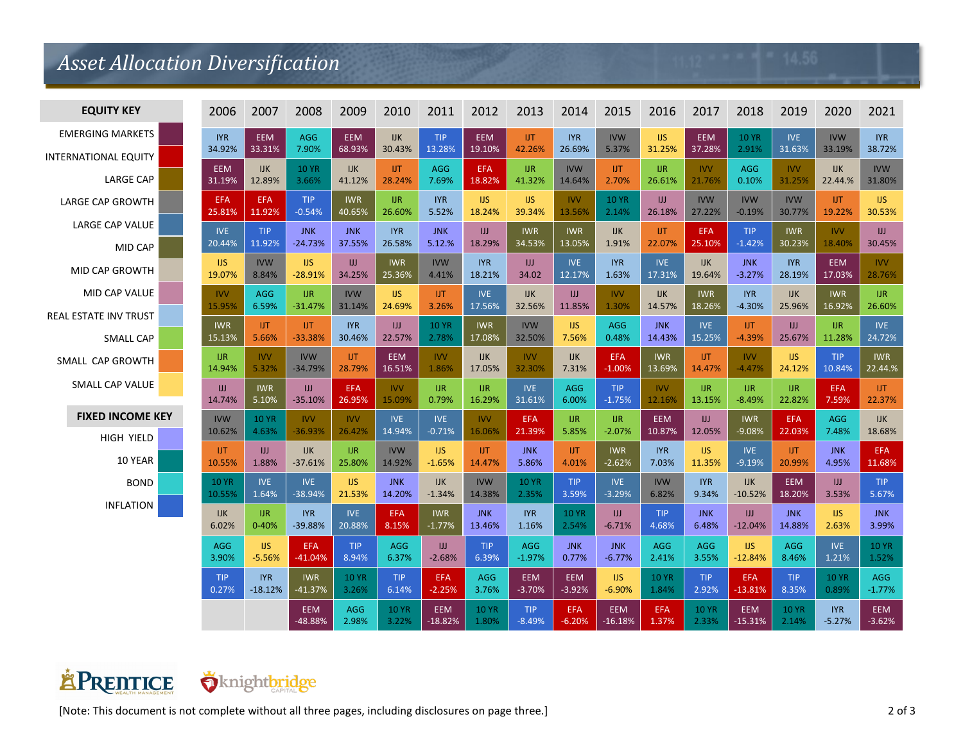## *Asset Allocation Diversification*

| <b>EQUITY KEY</b>           | 2006         | 2007         | 2008                 | 2009                | 2010                  | 2011                    | 2012                  | 2013                   | 2014                   | 2015                    | 2016                | 2017                  | 2018                    | 2019                  | 2020                   | 2021            |
|-----------------------------|--------------|--------------|----------------------|---------------------|-----------------------|-------------------------|-----------------------|------------------------|------------------------|-------------------------|---------------------|-----------------------|-------------------------|-----------------------|------------------------|-----------------|
| <b>EMERGING MARKETS</b>     | <b>IYR</b>   | <b>EEM</b>   | <b>AGG</b>           | <b>EEM</b>          | <b>IJK</b>            | <b>TIP</b>              | <b>EEM</b>            | <b>UT</b>              | <b>IYR</b>             | <b>IVW</b>              | <b>IJS</b>          | EEM                   | <b>10 YR</b>            | <b>IVE</b>            | <b>IVW</b>             | <b>IYR</b>      |
| <b>INTERNATIONAL EQUITY</b> | 34.92%       | 33.31%       | 7.90%                | 68.93%              | 30.43%                | 13.28%                  | 19.10%                | 42.26%                 | 26.69%                 | 5.37%                   | 31.25%              | 37.28%                | 2.91%                   | 31.63%                | 33.19%                 | 38.72%          |
| <b>LARGE CAP</b>            | <b>EEM</b>   | <b>IJK</b>   | <b>10 YR</b>         | <b>IJK</b>          | <b>UT</b>             | <b>AGG</b>              | <b>EFA</b>            | <b>UR</b>              | <b>IVW</b>             | <b>UT</b>               | <b>IJR</b>          | <b>IVV</b>            | <b>AGG</b>              | <b>IVV</b>            | <b>IJK</b>             | <b>IVW</b>      |
|                             | 31.19%       | 12.89%       | 3.66%                | 41.12%              | 28.24%                | 7.69%                   | 18.82%                | 41.32%                 | 14.64%                 | 2.70%                   | 26.61%              | 21.76%                | 0.10%                   | 31.25%                | 22.44.%                | 31.80%          |
| <b>LARGE CAP GROWTH</b>     | <b>EFA</b>   | <b>EFA</b>   | <b>TIP</b>           | <b>IWR</b>          | <b>IJR</b>            | <b>IYR</b>              | IJS.                  | IJS                    | <b>IVV</b>             | <b>10 YR</b>            | IJ                  | <b>IVW</b>            | <b>IVW</b>              | <b>IVW</b>            | IJT                    | IJS.            |
|                             | 25.81%       | 11.92%       | $-0.54%$             | 40.65%              | 26.60%                | 5.52%                   | 18.24%                | 39.34%                 | 13.56%                 | 2.14%                   | 26.18%              | 27.22%                | $-0.19%$                | 30.77%                | 19.22%                 | 30.53%          |
| LARGE CAP VALUE             | <b>IVE</b>   | <b>TIP</b>   | <b>JNK</b>           | <b>JNK</b>          | <b>IYR</b>            | <b>JNK</b>              | IJ                    | <b>IWR</b>             | <b>IWR</b>             | IJK                     | <b>UT</b>           | <b>EFA</b>            | <b>TIP</b>              | <b>IWR</b>            | <b>IVV</b>             | IJJ             |
| MID CAP                     | 20.44%       | 11.92%       | $-24.73%$            | 37.55%              | 26.58%                | 5.12.%                  | 18.29%                | 34.53%                 | 13.05%                 | 1.91%                   | 22.07%              | 25.10%                | $-1.42%$                | 30.23%                | 18.40%                 | 30.45%          |
| <b>MID CAP GROWTH</b>       | <b>IJS</b>   | <b>IVW</b>   | <b>IJS</b>           | IJ                  | <b>IWR</b>            | <b>IVW</b>              | <b>IYR</b>            | JJ                     | <b>IVE</b>             | <b>IYR</b>              | <b>IVE</b>          | <b>IJK</b>            | <b>JNK</b>              | <b>IYR</b>            | <b>EEM</b>             | <b>IVV</b>      |
|                             | 19.07%       | 8.84%        | $-28.91%$            | 34.25%              | 25.36%                | 4.41%                   | 18.21%                | 34.02                  | 12.17%                 | 1.63%                   | 17.31%              | 19.64%                | $-3.27%$                | 28.19%                | 17.03%                 | 28.76%          |
| <b>MID CAP VALUE</b>        | <b>IVV</b>   | <b>AGG</b>   | <b>UR</b>            | <b>IVW</b>          | <b>IJS</b>            | <b>UT</b>               | <b>IVE</b>            | <b>IJK</b>             | IJ                     | <b>IVV</b>              | <b>IJK</b>          | <b>IWR</b>            | <b>IYR</b>              | <b>IJK</b>            | <b>IWR</b>             | <b>IJR</b>      |
|                             | 15.95%       | 6.59%        | $-31.47%$            | 31.14%              | 24.69%                | 3.26%                   | 17.56%                | 32.56%                 | 11.85%                 | 1.30%                   | 14.57%              | 18.26%                | $-4.30%$                | 25.96%                | 16.92%                 | 26.60%          |
| REAL ESTATE INV TRUST       | <b>IWR</b>   | <b>UT</b>    | <b>UT</b>            | <b>IYR</b>          | JJ                    | <b>10 YR</b>            | <b>IWR</b>            | <b>IVW</b>             | <b>IJS</b>             | <b>AGG</b>              | <b>JNK</b>          | <b>IVE</b>            | <b>UT</b>               | JJ                    | <b>IJR</b>             | <b>IVE</b>      |
| <b>SMALL CAP</b>            | 15.13%       | 5.66%        | $-33.38%$            | 30.46%              | 22.57%                | 2.78%                   | 17.08%                | 32.50%                 | 7.56%                  | 0.48%                   | 14.43%              | 15.25%                | $-4.39%$                | 25.67%                | 11.28%                 | 24.72%          |
| SMALL CAP GROWTH            | <b>UR</b>    | <b>IVV</b>   | <b>IVW</b>           | UT.                 | <b>EEM</b>            | <b>IVV</b>              | <b>IJK</b>            | <b>IVV</b>             | <b>IJK</b>             | <b>EFA</b>              | <b>IWR</b>          | <b>UT</b>             | <b>IVV</b>              | <b>IJS</b>            | <b>TIP</b>             | <b>IWR</b>      |
|                             | 14.94%       | 5.32%        | $-34.79%$            | 28.79%              | 16.51%                | 1.86%                   | 17.05%                | 32.30%                 | 7.31%                  | $-1.00%$                | 13.69%              | 14.47%                | $-4.47%$                | 24.12%                | 10.84%                 | 22.44.%         |
| SMALL CAP VALUE             | JJ           | <b>IWR</b>   | IJ                   | <b>EFA</b>          | <b>IVV</b>            | IJR.                    | $I$ J $R$             | <b>IVE</b>             | <b>AGG</b>             | <b>TIP</b>              | <b>IVV</b>          | <b>UR</b>             | I                       | <b>UR</b>             | <b>EFA</b>             | <b>UT</b>       |
|                             | 14.74%       | 5.10%        | $-35.10%$            | 26.95%              | 15.09%                | 0.79%                   | 16.29%                | 31.61%                 | 6.00%                  | $-1.75%$                | 12.16%              | 13.15%                | $-8.49%$                | 22.82%                | 7.59%                  | 22.37%          |
| <b>FIXED INCOME KEY</b>     | <b>IVW</b>   | <b>10 YR</b> | <b>IVV</b>           | <b>IVV</b>          | <b>IVE</b>            | <b>IVE</b>              | <b>IVV</b>            | EFA                    | <b>UR</b>              | <b>IJR</b>              | <b>EEM</b>          | JJ                    | <b>IWR</b>              | <b>EFA</b>            | <b>AGG</b>             | IJK             |
|                             | 10.62%       | 4.63%        | $-36.93%$            | 26.42%              | 14.94%                | $-0.71%$                | 16.06%                | 21.39%                 | 5.85%                  | $-2.07%$                | 10.87%              | 12.05%                | $-9.08%$                | 22.03%                | 7.48%                  | 18.68%          |
| <b>HIGH YIELD</b>           | <b>UT</b>    | JJ           | <b>IJK</b>           | I                   | <b>IVW</b>            | <b>IJS</b>              | <b>UT</b>             | <b>JNK</b>             | UT.                    | <b>IWR</b>              | <b>IYR</b>          | <b>IJS</b>            | <b>IVE</b>              | <b>UT</b>             | <b>JNK</b>             | <b>EFA</b>      |
| 10 YEAR                     | 10.55%       | 1.88%        | $-37.61%$            | 25.80%              | 14.92%                | $-1.65%$                | 14.47%                | 5.86%                  | 4.01%                  | $-2.62%$                | 7.03%               | 11.35%                | $-9.19%$                | 20.99%                | 4.95%                  | 11.68%          |
| <b>BOND</b>                 | <b>10 YR</b> | <b>IVE</b>   | <b>IVE</b>           | <b>IJS</b>          | <b>JNK</b>            | <b>IJK</b>              | <b>IVW</b>            | <b>10 YR</b>           | <b>TIP</b>             | <b>IVE</b>              | <b>IVW</b>          | <b>IYR</b>            | <b>IJK</b>              | <b>EEM</b>            | JJ                     | <b>TIP</b>      |
|                             | 10.55%       | 1.64%        | -38.94%              | 21.53%              | 14.20%                | $-1.34%$                | 14.38%                | 2.35%                  | 3.59%                  | $-3.29%$                | 6.82%               | 9.34%                 | $-10.52%$               | 18.20%                | 3.53%                  | 5.67%           |
| <b>INFLATION</b>            | <b>IJK</b>   | <b>IJR</b>   | <b>IYR</b>           | <b>IVE</b>          | <b>EFA</b>            | <b>IWR</b>              | <b>JNK</b>            | <b>IYR</b>             | <b>10 YR</b>           | JJ                      | <b>TIP</b>          | <b>JNK</b>            | $\mathbf{H}$            | <b>JNK</b>            | <b>IJS</b>             | <b>JNK</b>      |
|                             | 6.02%        | $0 - 40%$    | -39.88%              | 20.88%              | 8.15%                 | $-1.77%$                | 13.46%                | 1.16%                  | 2.54%                  | $-6.71%$                | 4.68%               | 6.48%                 | $-12.04%$               | 14.88%                | 2.63%                  | 3.99%           |
|                             | <b>AGG</b>   | <b>IJS</b>   | <b>EFA</b>           | <b>TIP</b>          | <b>AGG</b>            | Ш                       | TIP.                  | <b>AGG</b>             | <b>JNK</b>             | <b>JNK</b>              | <b>AGG</b>          | <b>AGG</b>            | <b>IJS</b>              | <b>AGG</b>            | <b>IVE</b>             | <b>10 YR</b>    |
|                             | 3.90%        | $-5.56%$     | $-41.04%$            | 8.94%               | 6.37%                 | $-2.68%$                | 6.39%                 | $-1.97%$               | 0.77%                  | $-6.77%$                | 2.41%               | 3.55%                 | $-12.84%$               | 8.46%                 | 1.21%                  | 1.52%           |
|                             | <b>TIP</b>   | <b>IYR</b>   | <b>IWR</b>           | <b>10 YR</b>        | <b>TIP</b>            | <b>EFA</b>              | <b>AGG</b>            | <b>EEM</b>             | <b>EEM</b>             | <b>IJS</b>              | <b>10 YR</b>        | <b>TIP</b>            | <b>EFA</b>              | <b>TIP</b>            | <b>10 YR</b>           | <b>AGG</b>      |
|                             | 0.27%        | $-18.12%$    | $-41.37%$            | 3.26%               | 6.14%                 | $-2.25%$                | 3.76%                 | $-3.70%$               | $-3.92%$               | $-6.90%$                | 1.84%               | 2.92%                 | $-13.81%$               | 8.35%                 | 0.89%                  | $-1.77%$        |
|                             |              |              | <b>EEM</b><br>48.88% | <b>AGG</b><br>2.98% | <b>10 YR</b><br>3.22% | <b>EEM</b><br>$-18.82%$ | <b>10 YR</b><br>1.80% | <b>TIP</b><br>$-8.49%$ | <b>EFA</b><br>$-6.20%$ | <b>EEM</b><br>$-16.18%$ | <b>EFA</b><br>1.37% | <b>10 YR</b><br>2.33% | <b>EEM</b><br>$-15.31%$ | <b>10 YR</b><br>2.14% | <b>IYR</b><br>$-5.27%$ | EEM<br>$-3.62%$ |